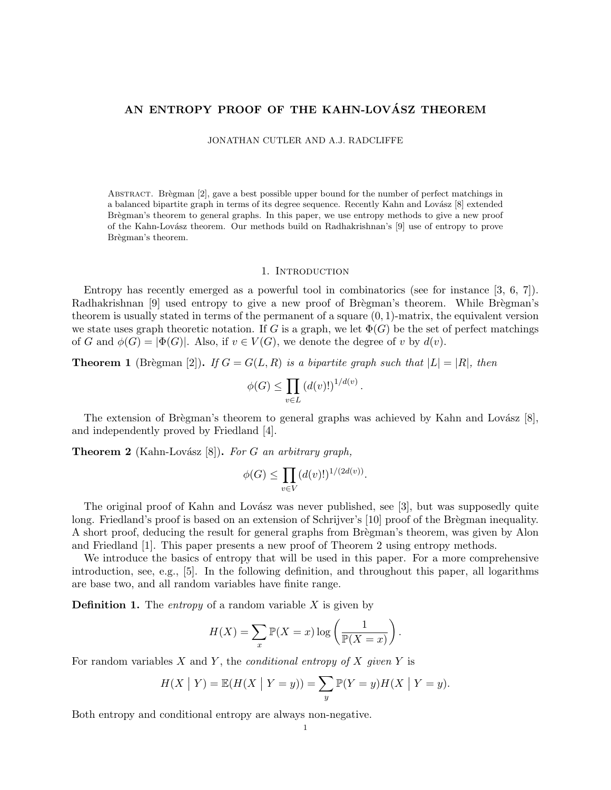# AN ENTROPY PROOF OF THE KAHN-LOVÁSZ THEOREM

JONATHAN CUTLER AND A.J. RADCLIFFE

ABSTRACT. Brègman [2], gave a best possible upper bound for the number of perfect matchings in a balanced bipartite graph in terms of its degree sequence. Recently Kahn and Lovász [8] extended Brègman's theorem to general graphs. In this paper, we use entropy methods to give a new proof of the Kahn-Lov´asz theorem. Our methods build on Radhakrishnan's [9] use of entropy to prove Brègman's theorem.

#### 1. INTRODUCTION

Entropy has recently emerged as a powerful tool in combinatorics (see for instance [3, 6, 7]). Radhakrishnan [9] used entropy to give a new proof of Brègman's theorem. While Brègman's theorem is usually stated in terms of the permanent of a square  $(0, 1)$ -matrix, the equivalent version we state uses graph theoretic notation. If G is a graph, we let  $\Phi(G)$  be the set of perfect matchings of G and  $\phi(G) = |\Phi(G)|$ . Also, if  $v \in V(G)$ , we denote the degree of v by  $d(v)$ .

**Theorem 1** (Brègman [2]). If  $G = G(L, R)$  is a bipartite graph such that  $|L| = |R|$ , then

$$
\phi(G) \le \prod_{v \in L} \left( d(v)! \right)^{1/d(v)}
$$

.

The extension of Brègman's theorem to general graphs was achieved by Kahn and Lovász  $[8]$ , and independently proved by Friedland [4].

**Theorem 2** (Kahn-Lovász [8]). For G an arbitrary graph,

$$
\phi(G) \le \prod_{v \in V} (d(v)!)^{1/(2d(v))}.
$$

The original proof of Kahn and Lovász was never published, see [3], but was supposedly quite long. Friedland's proof is based on an extension of Schrijver's [10] proof of the Brègman inequality. A short proof, deducing the result for general graphs from Brègman's theorem, was given by Alon and Friedland [1]. This paper presents a new proof of Theorem 2 using entropy methods.

We introduce the basics of entropy that will be used in this paper. For a more comprehensive introduction, see, e.g., [5]. In the following definition, and throughout this paper, all logarithms are base two, and all random variables have finite range.

**Definition 1.** The entropy of a random variable X is given by

$$
H(X) = \sum_{x} \mathbb{P}(X = x) \log \left( \frac{1}{\mathbb{P}(X = x)} \right).
$$

For random variables X and Y, the *conditional entropy of X given Y* is

$$
H(X | Y) = \mathbb{E}(H(X | Y = y)) = \sum_{y} \mathbb{P}(Y = y)H(X | Y = y).
$$

Both entropy and conditional entropy are always non-negative.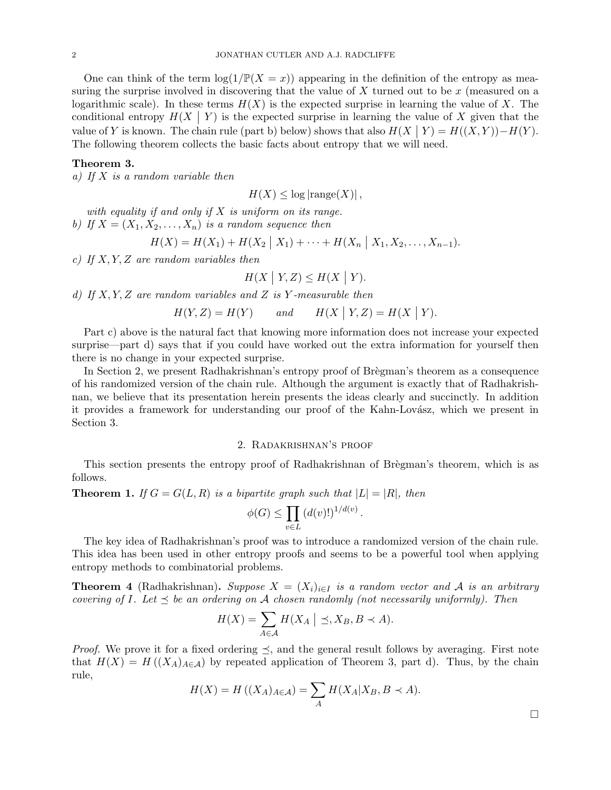One can think of the term  $\log(1/\mathbb{P}(X=x))$  appearing in the definition of the entropy as measuring the surprise involved in discovering that the value of  $X$  turned out to be  $x$  (measured on a logarithmic scale). In these terms  $H(X)$  is the expected surprise in learning the value of X. The conditional entropy  $H(X | Y)$  is the expected surprise in learning the value of X given that the value of Y is known. The chain rule (part b) below) shows that also  $H(X \mid Y) = H((X, Y)) - H(Y)$ . The following theorem collects the basic facts about entropy that we will need.

### Theorem 3.

a) If  $X$  is a random variable then

 $H(X) \leq \log |{\rm range}(X)|$ ,

with equality if and only if  $X$  is uniform on its range. b) If  $X = (X_1, X_2, \ldots, X_n)$  is a random sequence then

$$
H(X) = H(X_1) + H(X_2 \mid X_1) + \cdots + H(X_n \mid X_1, X_2, \ldots, X_{n-1}).
$$

c) If  $X, Y, Z$  are random variables then

$$
H(X \mid Y, Z) \le H(X \mid Y).
$$

d) If  $X, Y, Z$  are random variables and Z is Y-measurable then

$$
H(Y, Z) = H(Y) \qquad and \qquad H(X \mid Y, Z) = H(X \mid Y).
$$

Part c) above is the natural fact that knowing more information does not increase your expected surprise—part d) says that if you could have worked out the extra information for yourself then there is no change in your expected surprise.

In Section 2, we present Radhakrishnan's entropy proof of Brègman's theorem as a consequence of his randomized version of the chain rule. Although the argument is exactly that of Radhakrishnan, we believe that its presentation herein presents the ideas clearly and succinctly. In addition it provides a framework for understanding our proof of the Kahn-Lovász, which we present in Section 3.

#### 2. Radakrishnan's proof

This section presents the entropy proof of Radhakrishnan of Brègman's theorem, which is as follows.

**Theorem 1.** If  $G = G(L, R)$  is a bipartite graph such that  $|L| = |R|$ , then

$$
\phi(G) \le \prod_{v \in L} \left( d(v)! \right)^{1/d(v)}.
$$

The key idea of Radhakrishnan's proof was to introduce a randomized version of the chain rule. This idea has been used in other entropy proofs and seems to be a powerful tool when applying entropy methods to combinatorial problems.

**Theorem 4** (Radhakrishnan). Suppose  $X = (X_i)_{i \in I}$  is a random vector and A is an arbitrary covering of I. Let  $\preceq$  be an ordering on A chosen randomly (not necessarily uniformly). Then

$$
H(X) = \sum_{A \in \mathcal{A}} H(X_A \mid \preceq, X_B, B \prec A).
$$

*Proof.* We prove it for a fixed ordering  $\preceq$ , and the general result follows by averaging. First note that  $H(X) = H((X_A)_{A \in \mathcal{A}})$  by repeated application of Theorem 3, part d). Thus, by the chain rule,

$$
H(X) = H((X_A)_{A \in \mathcal{A}}) = \sum_A H(X_A | X_B, B \prec A).
$$

 $\Box$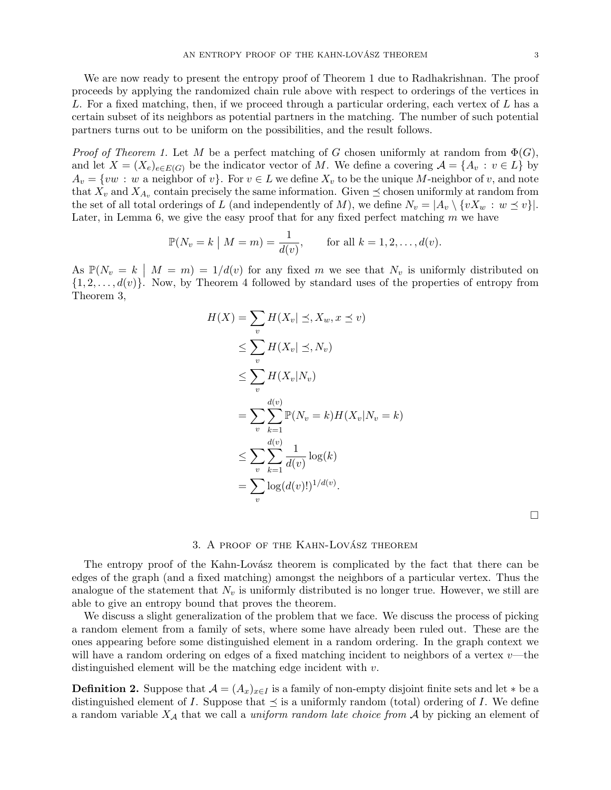We are now ready to present the entropy proof of Theorem 1 due to Radhakrishnan. The proof proceeds by applying the randomized chain rule above with respect to orderings of the vertices in L. For a fixed matching, then, if we proceed through a particular ordering, each vertex of L has a certain subset of its neighbors as potential partners in the matching. The number of such potential partners turns out to be uniform on the possibilities, and the result follows.

*Proof of Theorem 1.* Let M be a perfect matching of G chosen uniformly at random from  $\Phi(G)$ , and let  $X = (X_e)_{e \in E(G)}$  be the indicator vector of M. We define a covering  $\mathcal{A} = \{A_v : v \in L\}$  by  $A_v = \{vw : w$  a neighbor of v. For  $v \in L$  we define  $X_v$  to be the unique M-neighbor of v, and note that  $X_v$  and  $X_{A_v}$  contain precisely the same information. Given  $\preceq$  chosen uniformly at random from the set of all total orderings of L (and independently of M), we define  $N_v = |A_v \setminus \{vX_w : w \preceq v\}|$ . Later, in Lemma 6, we give the easy proof that for any fixed perfect matching  $m$  we have

$$
\mathbb{P}(N_v = k \mid M = m) = \frac{1}{d(v)}, \quad \text{for all } k = 1, 2, ..., d(v).
$$

As  $\mathbb{P}(N_v = k \mid M = m) = 1/d(v)$  for any fixed m we see that  $N_v$  is uniformly distributed on  $\{1, 2, \ldots, d(v)\}.$  Now, by Theorem 4 followed by standard uses of the properties of entropy from Theorem 3,

$$
H(X) = \sum_{v} H(X_v | \leq, X_w, x \leq v)
$$
  
\n
$$
\leq \sum_{v} H(X_v | \leq, N_v)
$$
  
\n
$$
\leq \sum_{v} H(X_v | N_v)
$$
  
\n
$$
= \sum_{v} \sum_{k=1}^{d(v)} \mathbb{P}(N_v = k) H(X_v | N_v = k)
$$
  
\n
$$
\leq \sum_{v} \sum_{k=1}^{d(v)} \frac{1}{d(v)} \log(k)
$$
  
\n
$$
= \sum_{v} \log(d(v)!)^{1/d(v)}.
$$

 $\Box$ 

## $3.$  A proof of the KAHN-LOVASZ THEOREM

The entropy proof of the Kahn-Lovász theorem is complicated by the fact that there can be edges of the graph (and a fixed matching) amongst the neighbors of a particular vertex. Thus the analogue of the statement that  $N_v$  is uniformly distributed is no longer true. However, we still are able to give an entropy bound that proves the theorem.

We discuss a slight generalization of the problem that we face. We discuss the process of picking a random element from a family of sets, where some have already been ruled out. These are the ones appearing before some distinguished element in a random ordering. In the graph context we will have a random ordering on edges of a fixed matching incident to neighbors of a vertex  $v$ —the distinguished element will be the matching edge incident with  $v$ .

**Definition 2.** Suppose that  $\mathcal{A} = (A_x)_{x \in I}$  is a family of non-empty disjoint finite sets and let  $*$  be a distinguished element of I. Suppose that  $\preceq$  is a uniformly random (total) ordering of I. We define a random variable  $X_{\mathcal{A}}$  that we call a *uniform random late choice from*  $\mathcal A$  by picking an element of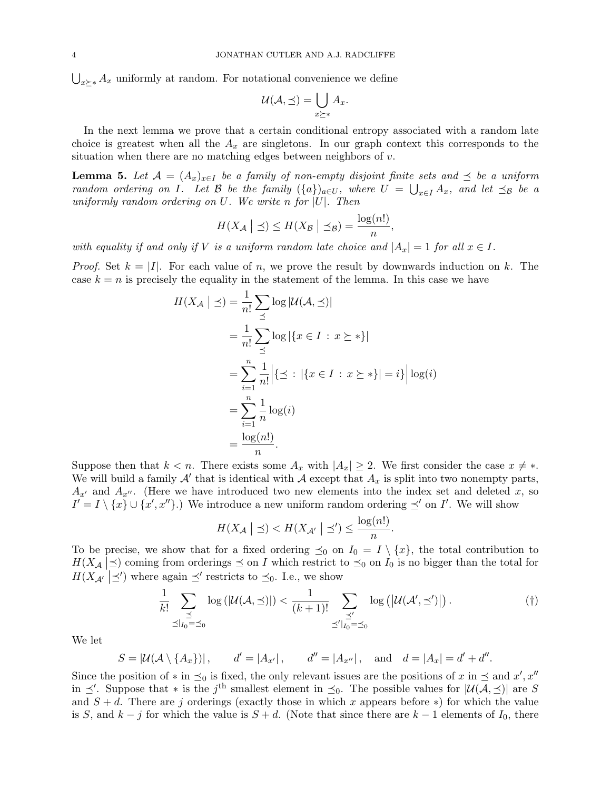$\bigcup_{x\succeq *} A_x$  uniformly at random. For notational convenience we define

$$
\mathcal{U}(\mathcal{A}, \preceq) = \bigcup_{x \succeq *} A_x.
$$

In the next lemma we prove that a certain conditional entropy associated with a random late choice is greatest when all the  $A_x$  are singletons. In our graph context this corresponds to the situation when there are no matching edges between neighbors of  $v$ .

**Lemma 5.** Let  $A = (A_x)_{x \in I}$  be a family of non-empty disjoint finite sets and  $\preceq$  be a uniform random ordering on I. Let B be the family  $(\{a\})_{a\in U}$ , where  $U = \bigcup_{x\in I} A_x$ , and let  $\preceq_{\mathcal{B}}$  be a uniformly random ordering on U. We write n for  $|U|$ . Then

$$
H(X_{\mathcal{A}} \mid \preceq) \le H(X_{\mathcal{B}} \mid \preceq_{\mathcal{B}}) = \frac{\log(n!)}{n},
$$

with equality if and only if V is a uniform random late choice and  $|A_x| = 1$  for all  $x \in I$ .

*Proof.* Set  $k = |I|$ . For each value of n, we prove the result by downwards induction on k. The case  $k = n$  is precisely the equality in the statement of the lemma. In this case we have

$$
H(X_{\mathcal{A}} \mid \preceq) = \frac{1}{n!} \sum_{\preceq} \log |\mathcal{U}(\mathcal{A}, \preceq)|
$$
  
\n
$$
= \frac{1}{n!} \sum_{\preceq} \log |\{x \in I : x \succeq *\}|
$$
  
\n
$$
= \sum_{i=1}^{n} \frac{1}{n!} |\{\preceq : |\{x \in I : x \succeq *\}| = i\}| \log(i)
$$
  
\n
$$
= \sum_{i=1}^{n} \frac{1}{n} \log(i)
$$
  
\n
$$
= \frac{\log(n!)}{n}.
$$

Suppose then that  $k < n$ . There exists some  $A_x$  with  $|A_x| \geq 2$ . We first consider the case  $x \neq *$ . We will build a family  $\mathcal{A}'$  that is identical with  $\mathcal{A}$  except that  $A_x$  is split into two nonempty parts,  $A_{x'}$  and  $A_{x''}$ . (Here we have introduced two new elements into the index set and deleted x, so  $I' = I \setminus \{x\} \cup \{x', x''\}.$  We introduce a new uniform random ordering  $\preceq'$  on I'. We will show

$$
H(X_{\mathcal{A}} \mid \preceq) < H(X_{\mathcal{A}'} \mid \preceq') \le \frac{\log(n!)}{n}.
$$

To be precise, we show that for a fixed ordering  $\preceq_0$  on  $I_0 = I \setminus \{x\}$ , the total contribution to  $H(X_A \mid \preceq)$  coming from orderings  $\preceq$  on I which restrict to  $\preceq_0$  on I<sub>0</sub> is no bigger than the total for  $H(X_{\mathcal{A}} \mid \leq')$  where again  $\leq'$  restricts to  $\leq_0$ . I.e., we show

$$
\frac{1}{k!} \sum_{\substack{\preceq \\ \preceq |I_0 = \preceq_0}} \log\left(|\mathcal{U}(\mathcal{A}, \preceq)|\right) < \frac{1}{(k+1)!} \sum_{\substack{\preceq' \\ \preceq' |I_0 = \preceq_0}} \log\left(|\mathcal{U}(\mathcal{A}', \preceq')|\right). \tag{\dagger}
$$

We let

$$
S = |\mathcal{U}(\mathcal{A} \setminus \{A_x\})|
$$
,  $d' = |A_{x'}|$ ,  $d'' = |A_{x''}|$ , and  $d = |A_x| = d' + d''$ .

Since the position of  $*$  in  $\preceq_0$  is fixed, the only relevant issues are the positions of x in  $\preceq$  and  $x', x''$ in  $\preceq'$ . Suppose that \* is the j<sup>th</sup> smallest element in  $\preceq_0$ . The possible values for  $|\mathcal{U}(\mathcal{A}, \preceq)|$  are S and  $S + d$ . There are j orderings (exactly those in which x appears before \*) for which the value is S, and  $k - j$  for which the value is  $S + d$ . (Note that since there are  $k - 1$  elements of  $I_0$ , there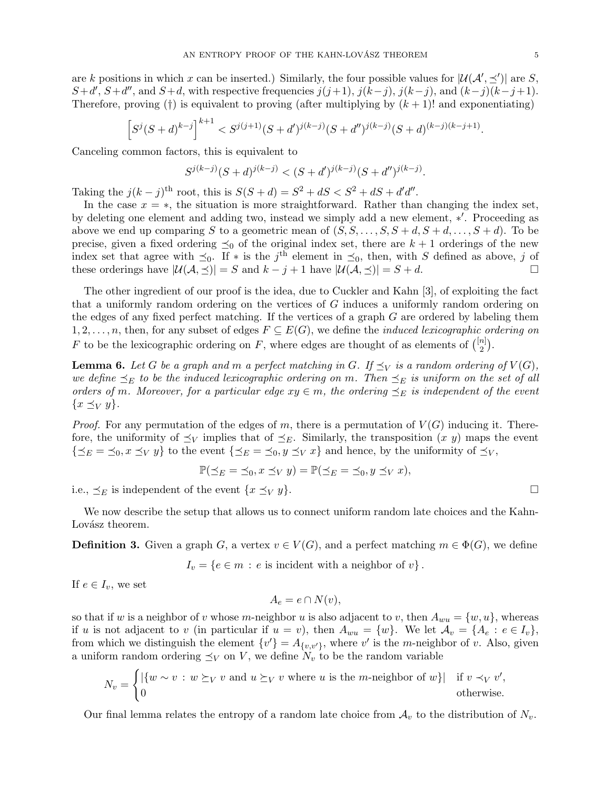are k positions in which x can be inserted.) Similarly, the four possible values for  $|\mathcal{U}(\mathcal{A}', \preceq')|$  are S,  $S+d', S+d'',$  and  $S+d$ , with respective frequencies  $j(j+1), j(k-j), j(k-j)$ , and  $(k-j)(k-j+1)$ . Therefore, proving (†) is equivalent to proving (after multiplying by  $(k + 1)!$  and exponentiating)

$$
\left[S^{j}(S+d)^{k-j}\right]^{k+1} < S^{j(j+1)}(S+d')^{j(k-j)}(S+d'')^{j(k-j)}(S+d)^{(k-j)(k-j+1)}.
$$

Canceling common factors, this is equivalent to

$$
S^{j(k-j)}(S+d)^{j(k-j)} < (S+d')^{j(k-j)}(S+d'')^{j(k-j)}.
$$

Taking the  $j(k - j)$ <sup>th</sup> root, this is  $S(S + d) = S^2 + dS < S^2 + dS + d'd''$ .

In the case  $x = *$ , the situation is more straightforward. Rather than changing the index set, by deleting one element and adding two, instead we simply add a new element, \*'. Proceeding as above we end up comparing S to a geometric mean of  $(S, S, \ldots, S, S + d, S + d, \ldots, S + d)$ . To be precise, given a fixed ordering  $\preceq_0$  of the original index set, there are  $k + 1$  orderings of the new index set that agree with  $\preceq_0$ . If \* is the j<sup>th</sup> element in  $\preceq_0$ , then, with S defined as above, j of these orderings have  $|\mathcal{U}(\mathcal{A}, \preceq)| = S$  and  $k - j + 1$  have  $|\mathcal{U}(\mathcal{A}, \preceq)| = S + d$ .

The other ingredient of our proof is the idea, due to Cuckler and Kahn [3], of exploiting the fact that a uniformly random ordering on the vertices of G induces a uniformly random ordering on the edges of any fixed perfect matching. If the vertices of a graph G are ordered by labeling them  $1, 2, \ldots, n$ , then, for any subset of edges  $F \subseteq E(G)$ , we define the *induced lexicographic ordering on* F to be the lexicographic ordering on F, where edges are thought of as elements of  $\binom{[n]}{2}$  $\binom{n}{2}$ .

**Lemma 6.** Let G be a graph and m a perfect matching in G. If  $\preceq_V$  is a random ordering of  $V(G)$ , we define  $\preceq_E$  to be the induced lexicographic ordering on m. Then  $\preceq_E$  is uniform on the set of all orders of m. Moreover, for a particular edge  $xy \in m$ , the ordering  $\preceq_E$  is independent of the event  ${x \preceq_V y}.$ 

*Proof.* For any permutation of the edges of m, there is a permutation of  $V(G)$  inducing it. Therefore, the uniformity of  $\preceq_V$  implies that of  $\preceq_E$ . Similarly, the transposition  $(x, y)$  maps the event  $\{\preceq_E = \preceq_0, x \preceq_V y\}$  to the event  $\{\preceq_E = \preceq_0, y \preceq_V x\}$  and hence, by the uniformity of  $\preceq_V$ ,

$$
\mathbb{P}(\preceq_E = \preceq_0, x \preceq_V y) = \mathbb{P}(\preceq_E = \preceq_0, y \preceq_V x),
$$

i.e.,  $\preceq_E$  is independent of the event  $\{x \preceq_V y\}$ .

We now describe the setup that allows us to connect uniform random late choices and the Kahn-Lovász theorem.

**Definition 3.** Given a graph G, a vertex  $v \in V(G)$ , and a perfect matching  $m \in \Phi(G)$ , we define

$$
I_v = \{ e \in m : e \text{ is incident with a neighbor of } v \}.
$$

If  $e \in I_v$ , we set

$$
A_e = e \cap N(v),
$$

so that if w is a neighbor of v whose m-neighbor u is also adjacent to v, then  $A_{wu} = \{w, u\}$ , whereas if u is not adjacent to v (in particular if  $u = v$ ), then  $A_{wu} = \{w\}$ . We let  $A_v = \{A_e : e \in I_v\}$ , from which we distinguish the element  $\{v'\}=A_{\{v,v'\}}$ , where v' is the m-neighbor of v. Also, given a uniform random ordering  $\preceq_V$  on V, we define  $N_v$  to be the random variable

$$
N_v = \begin{cases} |\{w \sim v : w \succeq_V v \text{ and } u \succeq_V v \text{ where } u \text{ is the } m\text{-neighbor of } w\}| & \text{if } v \prec_V v', \\ 0 & \text{otherwise.} \end{cases}
$$

Our final lemma relates the entropy of a random late choice from  $A_v$  to the distribution of  $N_v$ .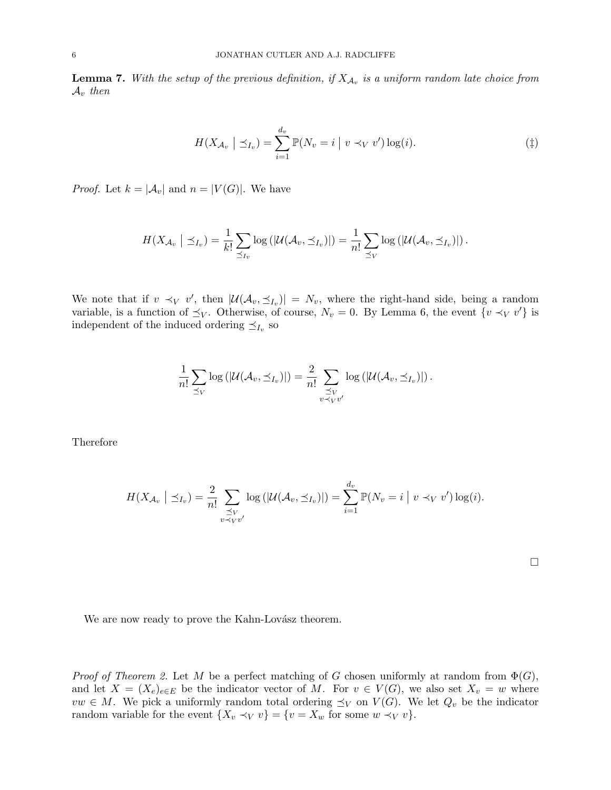**Lemma 7.** With the setup of the previous definition, if  $X_{A_v}$  is a uniform random late choice from  $A_v$  then

$$
H(X_{\mathcal{A}_v} \mid \preceq_{I_v}) = \sum_{i=1}^{d_v} \mathbb{P}(N_v = i \mid v \prec_V v') \log(i). \tag{1}
$$

*Proof.* Let  $k = |\mathcal{A}_v|$  and  $n = |V(G)|$ . We have

$$
H(X_{\mathcal{A}_v} \mid \preceq_{I_v}) = \frac{1}{k!} \sum_{\preceq_{I_v}} \log \left( \left| \mathcal{U}(\mathcal{A}_v, \preceq_{I_v}) \right| \right) = \frac{1}{n!} \sum_{\preceq_V} \log \left( \left| \mathcal{U}(\mathcal{A}_v, \preceq_{I_v}) \right| \right).
$$

We note that if  $v \prec_V v'$ , then  $|\mathcal{U}(\mathcal{A}_v, \preceq_{I_v})| = N_v$ , where the right-hand side, being a random variable, is a function of  $\preceq_V$ . Otherwise, of course,  $N_v = 0$ . By Lemma 6, the event  $\{v \prec_V v'\}$  is independent of the induced ordering  $\preceq_{I_v}$  so

$$
\frac{1}{n!}\sum_{\preceq V}\log\left(|\mathcal{U}(\mathcal{A}_v,\preceq_{I_v})|\right)=\frac{2}{n!}\sum_{\substack{\preceq V\\ v\prec_V v'}}\log\left(|\mathcal{U}(\mathcal{A}_v,\preceq_{I_v})|\right).
$$

Therefore

$$
H(X_{\mathcal{A}_v} \mid \preceq_{I_v}) = \frac{2}{n!} \sum_{\substack{\preceq V \\ v \prec_V v'}} \log(|\mathcal{U}(\mathcal{A}_v, \preceq_{I_v})|) = \sum_{i=1}^{d_v} \mathbb{P}(N_v = i \mid v \prec_V v') \log(i).
$$

We are now ready to prove the Kahn-Lovász theorem.

*Proof of Theorem 2.* Let M be a perfect matching of G chosen uniformly at random from  $\Phi(G)$ , and let  $X = (X_e)_{e \in E}$  be the indicator vector of M. For  $v \in V(G)$ , we also set  $X_v = w$  where  $vw \in M$ . We pick a uniformly random total ordering  $\preceq_V$  on  $V(G)$ . We let  $Q_v$  be the indicator random variable for the event  $\{X_v \prec_V v\} = \{v = X_w \text{ for some } w \prec_V v\}.$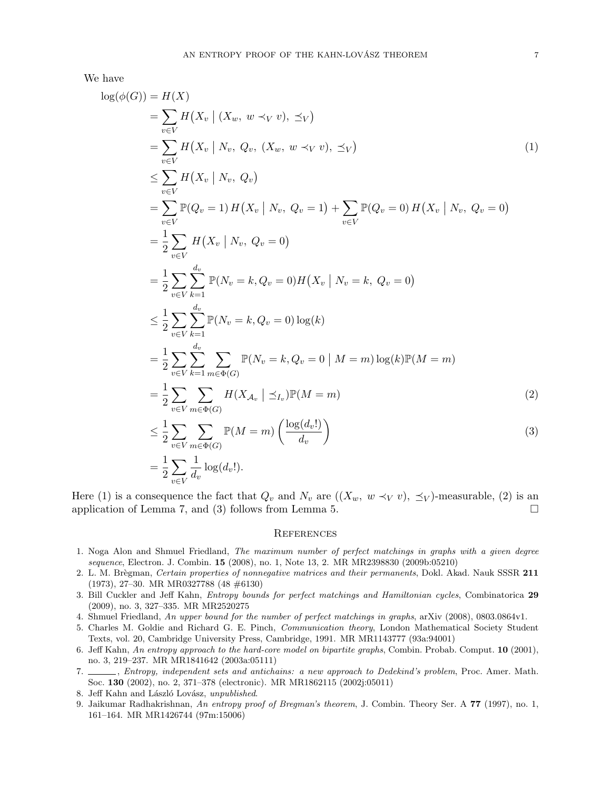We have

$$
\log(\phi(G)) = H(X)
$$
\n
$$
= \sum_{v \in V} H(X_v | (X_v, w \prec_V v), \preceq_V)
$$
\n
$$
= \sum_{v \in V} H(X_v | N_v, Q_v, (X_w, w \prec_V v), \preceq_V)
$$
\n
$$
\leq \sum_{v \in V} H(X_v | N_v, Q_v)
$$
\n
$$
= \sum_{v \in V} \mathbb{P}(Q_v = 1) H(X_v | N_v, Q_v = 1) + \sum_{v \in V} \mathbb{P}(Q_v = 0) H(X_v | N_v, Q_v = 0)
$$
\n
$$
= \frac{1}{2} \sum_{v \in V} H(X_v | N_v, Q_v = 0)
$$
\n
$$
= \frac{1}{2} \sum_{v \in V} \sum_{k=1}^{d_v} \mathbb{P}(N_v = k, Q_v = 0) H(X_v | N_v = k, Q_v = 0)
$$
\n
$$
\leq \frac{1}{2} \sum_{v \in V} \sum_{k=1}^{d_v} \mathbb{P}(N_v = k, Q_v = 0) \log(k)
$$
\n
$$
= \frac{1}{2} \sum_{v \in V} \sum_{k=1}^{d_v} \sum_{m \in \Phi(G)} \mathbb{P}(N_v = k, Q_v = 0 | M = m) \log(k) \mathbb{P}(M = m)
$$
\n
$$
= \frac{1}{2} \sum_{v \in V} \sum_{m \in \Phi(G)} H(X_{A_v} | \preceq_{I_v}) \mathbb{P}(M = m)
$$
\n
$$
\leq \frac{1}{2} \sum_{v \in V} \sum_{m \in \Phi(G)} \mathbb{P}(M = m) \left( \frac{\log(d_v!)}{d_v} \right)
$$
\n
$$
= \frac{1}{2} \sum_{v \in V} \frac{1}{d_v} \log(d_v!).
$$
\n(3)

Here (1) is a consequence the fact that  $Q_v$  and  $N_v$  are  $((X_w, w \prec_V v), \preceq_V)$ -measurable, (2) is an application of Lemma 7, and (3) follows from Lemma 5.  $\Box$ 

#### **REFERENCES**

- 1. Noga Alon and Shmuel Friedland, The maximum number of perfect matchings in graphs with a given degree sequence, Electron. J. Combin. 15 (2008), no. 1, Note 13, 2. MR MR2398830 (2009b:05210)
- 2. L. M. Brègman, Certain properties of nonnegative matrices and their permanents, Dokl. Akad. Nauk SSSR 211 (1973), 27–30. MR MR0327788 (48 #6130)
- 3. Bill Cuckler and Jeff Kahn, Entropy bounds for perfect matchings and Hamiltonian cycles, Combinatorica 29 (2009), no. 3, 327–335. MR MR2520275
- 4. Shmuel Friedland, An upper bound for the number of perfect matchings in graphs, arXiv (2008), 0803.0864v1.
- 5. Charles M. Goldie and Richard G. E. Pinch, Communication theory, London Mathematical Society Student Texts, vol. 20, Cambridge University Press, Cambridge, 1991. MR MR1143777 (93a:94001)
- 6. Jeff Kahn, An entropy approach to the hard-core model on bipartite graphs, Combin. Probab. Comput. 10 (2001), no. 3, 219–237. MR MR1841642 (2003a:05111)
- 7. , Entropy, independent sets and antichains: a new approach to Dedekind's problem, Proc. Amer. Math. Soc. 130 (2002), no. 2, 371–378 (electronic). MR MR1862115 (2002j:05011)
- 8. Jeff Kahn and László Lovász, unpublished.
- 9. Jaikumar Radhakrishnan, An entropy proof of Bregman's theorem, J. Combin. Theory Ser. A 77 (1997), no. 1, 161–164. MR MR1426744 (97m:15006)